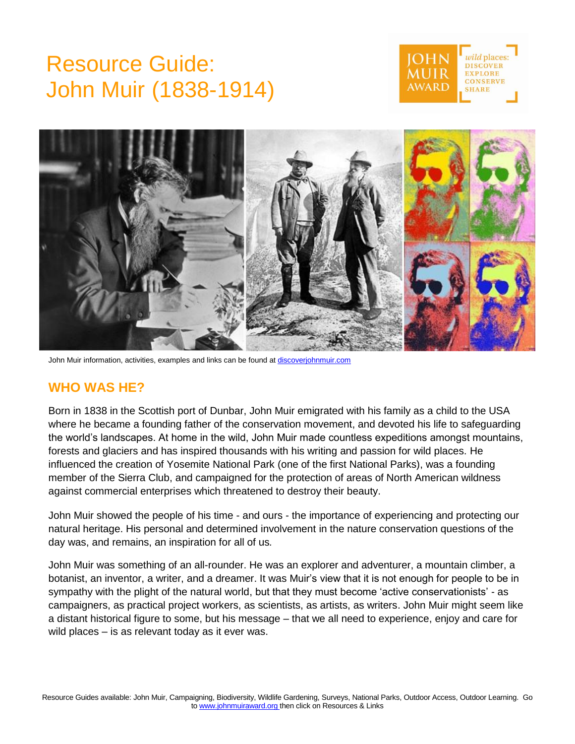# Resource Guide: John Muir (1838-1914)





John Muir information, activities, examples and links can be found a[t discoverjohnmuir.com](http://discoverjohnmuir.com/)

## **WHO WAS HE?**

Born in 1838 in the Scottish port of Dunbar, John Muir emigrated with his family as a child to the USA where he became a founding father of the conservation movement, and devoted his life to safeguarding the world's landscapes. At home in the wild, John Muir made countless expeditions amongst mountains, forests and glaciers and has inspired thousands with his writing and passion for wild places. He influenced the creation of Yosemite National Park (one of the first National Parks), was a founding member of the Sierra Club, and campaigned for the protection of areas of North American wildness against commercial enterprises which threatened to destroy their beauty.

John Muir showed the people of his time - and ours - the importance of experiencing and protecting our natural heritage. His personal and determined involvement in the nature conservation questions of the day was, and remains, an inspiration for all of us*.*

John Muir was something of an all-rounder. He was an explorer and adventurer, a mountain climber, a botanist, an inventor, a writer, and a dreamer. It was Muir's view that it is not enough for people to be in sympathy with the plight of the natural world, but that they must become 'active conservationists' - as campaigners, as practical project workers, as scientists, as artists, as writers. John Muir might seem like a distant historical figure to some, but his message – that we all need to experience, enjoy and care for wild places – is as relevant today as it ever was.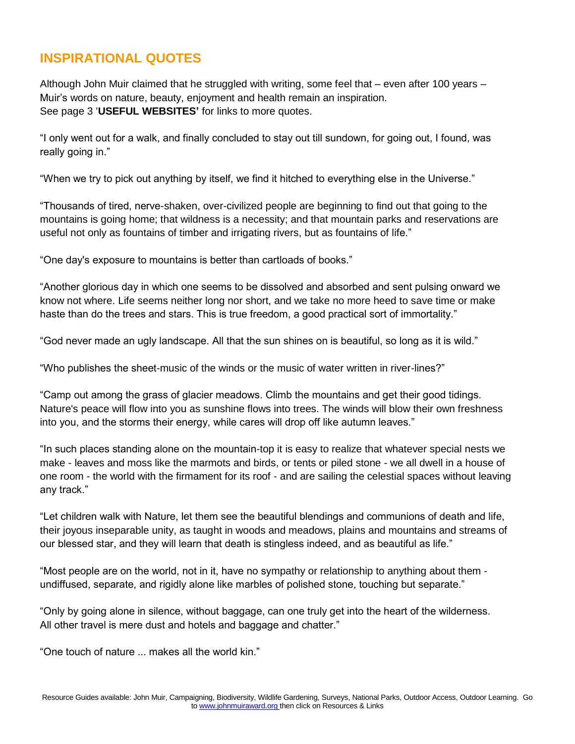## **INSPIRATIONAL QUOTES**

Although John Muir claimed that he struggled with writing, some feel that – even after 100 years – Muir's words on nature, beauty, enjoyment and health remain an inspiration. See page 3 '**USEFUL WEBSITES'** for links to more quotes.

"I only went out for a walk, and finally concluded to stay out till sundown, for going out, I found, was really going in."

"When we try to pick out anything by itself, we find it hitched to everything else in the Universe."

"Thousands of tired, nerve-shaken, over-civilized people are beginning to find out that going to the mountains is going home; that wildness is a necessity; and that mountain parks and reservations are useful not only as fountains of timber and irrigating rivers, but as fountains of life."

"One day's exposure to mountains is better than cartloads of books."

"Another glorious day in which one seems to be dissolved and absorbed and sent pulsing onward we know not where. Life seems neither long nor short, and we take no more heed to save time or make haste than do the trees and stars. This is true freedom, a good practical sort of immortality."

"God never made an ugly landscape. All that the sun shines on is beautiful, so long as it is wild."

"Who publishes the sheet-music of the winds or the music of water written in river-lines?"

"Camp out among the grass of glacier meadows. Climb the mountains and get their good tidings. Nature's peace will flow into you as sunshine flows into trees. The winds will blow their own freshness into you, and the storms their energy, while cares will drop off like autumn leaves."

"In such places standing alone on the mountain-top it is easy to realize that whatever special nests we make - leaves and moss like the marmots and birds, or tents or piled stone - we all dwell in a house of one room - the world with the firmament for its roof - and are sailing the celestial spaces without leaving any track."

"Let children walk with Nature, let them see the beautiful blendings and communions of death and life, their joyous inseparable unity, as taught in woods and meadows, plains and mountains and streams of our blessed star, and they will learn that death is stingless indeed, and as beautiful as life."

"Most people are on the world, not in it, have no sympathy or relationship to anything about them undiffused, separate, and rigidly alone like marbles of polished stone, touching but separate."

"Only by going alone in silence, without baggage, can one truly get into the heart of the wilderness. All other travel is mere dust and hotels and baggage and chatter."

"One touch of nature ... makes all the world kin."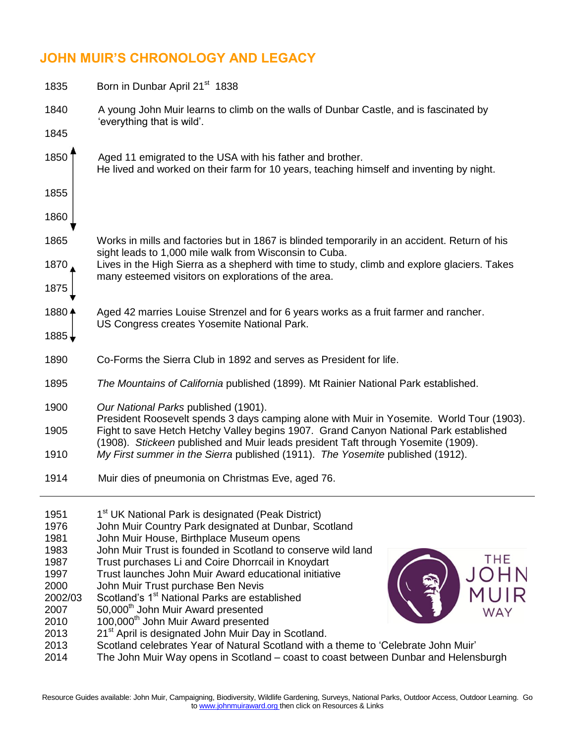## **JOHN MUIR'S CHRONOLOGY AND LEGACY**

| 1835                                                                                                    | Born in Dunbar April 21 <sup>st</sup> 1838                                                                                                                                                                                                                                                                                                                                                                                                                                                                                                                                                                                                                                                                                                                                                                               |  |  |
|---------------------------------------------------------------------------------------------------------|--------------------------------------------------------------------------------------------------------------------------------------------------------------------------------------------------------------------------------------------------------------------------------------------------------------------------------------------------------------------------------------------------------------------------------------------------------------------------------------------------------------------------------------------------------------------------------------------------------------------------------------------------------------------------------------------------------------------------------------------------------------------------------------------------------------------------|--|--|
| 1840                                                                                                    | A young John Muir learns to climb on the walls of Dunbar Castle, and is fascinated by                                                                                                                                                                                                                                                                                                                                                                                                                                                                                                                                                                                                                                                                                                                                    |  |  |
| 1845                                                                                                    | 'everything that is wild'.                                                                                                                                                                                                                                                                                                                                                                                                                                                                                                                                                                                                                                                                                                                                                                                               |  |  |
| 1850                                                                                                    | Aged 11 emigrated to the USA with his father and brother.<br>He lived and worked on their farm for 10 years, teaching himself and inventing by night.                                                                                                                                                                                                                                                                                                                                                                                                                                                                                                                                                                                                                                                                    |  |  |
| 1855                                                                                                    |                                                                                                                                                                                                                                                                                                                                                                                                                                                                                                                                                                                                                                                                                                                                                                                                                          |  |  |
| 1860                                                                                                    |                                                                                                                                                                                                                                                                                                                                                                                                                                                                                                                                                                                                                                                                                                                                                                                                                          |  |  |
| 1865                                                                                                    | Works in mills and factories but in 1867 is blinded temporarily in an accident. Return of his                                                                                                                                                                                                                                                                                                                                                                                                                                                                                                                                                                                                                                                                                                                            |  |  |
| 1870                                                                                                    | sight leads to 1,000 mile walk from Wisconsin to Cuba.<br>Lives in the High Sierra as a shepherd with time to study, climb and explore glaciers. Takes                                                                                                                                                                                                                                                                                                                                                                                                                                                                                                                                                                                                                                                                   |  |  |
| 1875                                                                                                    | many esteemed visitors on explorations of the area.                                                                                                                                                                                                                                                                                                                                                                                                                                                                                                                                                                                                                                                                                                                                                                      |  |  |
| 1880 4                                                                                                  | Aged 42 marries Louise Strenzel and for 6 years works as a fruit farmer and rancher.                                                                                                                                                                                                                                                                                                                                                                                                                                                                                                                                                                                                                                                                                                                                     |  |  |
| $1885 +$                                                                                                | US Congress creates Yosemite National Park.                                                                                                                                                                                                                                                                                                                                                                                                                                                                                                                                                                                                                                                                                                                                                                              |  |  |
| 1890                                                                                                    | Co-Forms the Sierra Club in 1892 and serves as President for life.                                                                                                                                                                                                                                                                                                                                                                                                                                                                                                                                                                                                                                                                                                                                                       |  |  |
| 1895                                                                                                    | The Mountains of California published (1899). Mt Rainier National Park established.                                                                                                                                                                                                                                                                                                                                                                                                                                                                                                                                                                                                                                                                                                                                      |  |  |
| 1900<br>1905                                                                                            | Our National Parks published (1901).<br>President Roosevelt spends 3 days camping alone with Muir in Yosemite. World Tour (1903).<br>Fight to save Hetch Hetchy Valley begins 1907. Grand Canyon National Park established                                                                                                                                                                                                                                                                                                                                                                                                                                                                                                                                                                                               |  |  |
| 1910                                                                                                    | (1908). Stickeen published and Muir leads president Taft through Yosemite (1909).<br>My First summer in the Sierra published (1911). The Yosemite published (1912).                                                                                                                                                                                                                                                                                                                                                                                                                                                                                                                                                                                                                                                      |  |  |
| 1914                                                                                                    | Muir dies of pneumonia on Christmas Eve, aged 76.                                                                                                                                                                                                                                                                                                                                                                                                                                                                                                                                                                                                                                                                                                                                                                        |  |  |
| 1951<br>1976<br>1981<br>1983<br>1987<br>1997<br>2000<br>2002/03<br>2007<br>2010<br>2013<br>2013<br>2014 | 1 <sup>st</sup> UK National Park is designated (Peak District)<br>John Muir Country Park designated at Dunbar, Scotland<br>John Muir House, Birthplace Museum opens<br>John Muir Trust is founded in Scotland to conserve wild land<br>THE<br>Trust purchases Li and Coire Dhorrcail in Knoydart<br>Trust launches John Muir Award educational initiative<br>John Muir Trust purchase Ben Nevis<br>Scotland's 1 <sup>st</sup> National Parks are established<br>50,000 <sup>th</sup> John Muir Award presented<br>WAY<br>100,000 <sup>th</sup> John Muir Award presented<br>21 <sup>st</sup> April is designated John Muir Day in Scotland.<br>Scotland celebrates Year of Natural Scotland with a theme to 'Celebrate John Muir'<br>The John Muir Way opens in Scotland – coast to coast between Dunbar and Helensburgh |  |  |